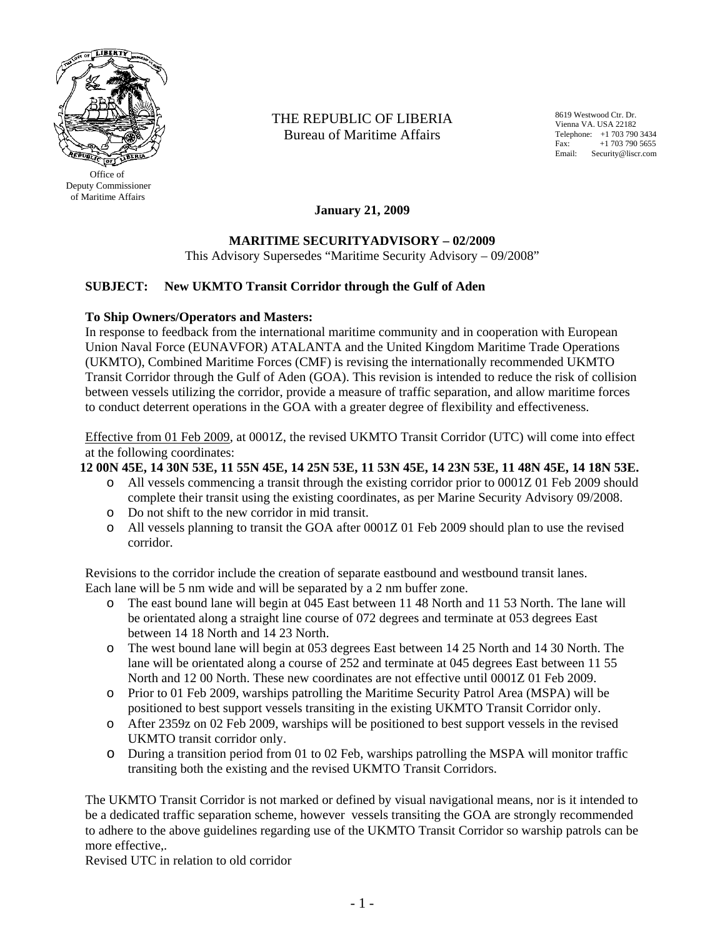

 Deputy Commissioner of Maritime Affairs

THE REPUBLIC OF LIBERIA Bureau of Maritime Affairs

8619 Westwood Ctr. Dr. Vienna VA. USA 22182 Telephone: +1 703 790 3434<br>Fax: +1 703 790 5655 +1 703 790 5655 Email: Security@liscr.com

**January 21, 2009** 

## **MARITIME SECURITYADVISORY – 02/2009**

This Advisory Supersedes "Maritime Security Advisory – 09/2008"

## **SUBJECT: New UKMTO Transit Corridor through the Gulf of Aden**

## **To Ship Owners/Operators and Masters:**

In response to feedback from the international maritime community and in cooperation with European Union Naval Force (EUNAVFOR) ATALANTA and the United Kingdom Maritime Trade Operations (UKMTO), Combined Maritime Forces (CMF) is revising the internationally recommended UKMTO Transit Corridor through the Gulf of Aden (GOA). This revision is intended to reduce the risk of collision between vessels utilizing the corridor, provide a measure of traffic separation, and allow maritime forces to conduct deterrent operations in the GOA with a greater degree of flexibility and effectiveness.

Effective from 01 Feb 2009, at 0001Z, the revised UKMTO Transit Corridor (UTC) will come into effect at the following coordinates:

**12 00N 45E, 14 30N 53E, 11 55N 45E, 14 25N 53E, 11 53N 45E, 14 23N 53E, 11 48N 45E, 14 18N 53E.**

- o All vessels commencing a transit through the existing corridor prior to 0001Z 01 Feb 2009 should complete their transit using the existing coordinates, as per Marine Security Advisory 09/2008.
- o Do not shift to the new corridor in mid transit.
- o All vessels planning to transit the GOA after 0001Z 01 Feb 2009 should plan to use the revised corridor.

Revisions to the corridor include the creation of separate eastbound and westbound transit lanes. Each lane will be 5 nm wide and will be separated by a 2 nm buffer zone.

- o The east bound lane will begin at 045 East between 11 48 North and 11 53 North. The lane will be orientated along a straight line course of 072 degrees and terminate at 053 degrees East between 14 18 North and 14 23 North.
- o The west bound lane will begin at 053 degrees East between 14 25 North and 14 30 North. The lane will be orientated along a course of 252 and terminate at 045 degrees East between 11 55 North and 12 00 North. These new coordinates are not effective until 0001Z 01 Feb 2009.
- o Prior to 01 Feb 2009, warships patrolling the Maritime Security Patrol Area (MSPA) will be positioned to best support vessels transiting in the existing UKMTO Transit Corridor only.
- o After 2359z on 02 Feb 2009, warships will be positioned to best support vessels in the revised UKMTO transit corridor only.
- o During a transition period from 01 to 02 Feb, warships patrolling the MSPA will monitor traffic transiting both the existing and the revised UKMTO Transit Corridors.

The UKMTO Transit Corridor is not marked or defined by visual navigational means, nor is it intended to be a dedicated traffic separation scheme, however vessels transiting the GOA are strongly recommended to adhere to the above guidelines regarding use of the UKMTO Transit Corridor so warship patrols can be more effective,.

Revised UTC in relation to old corridor